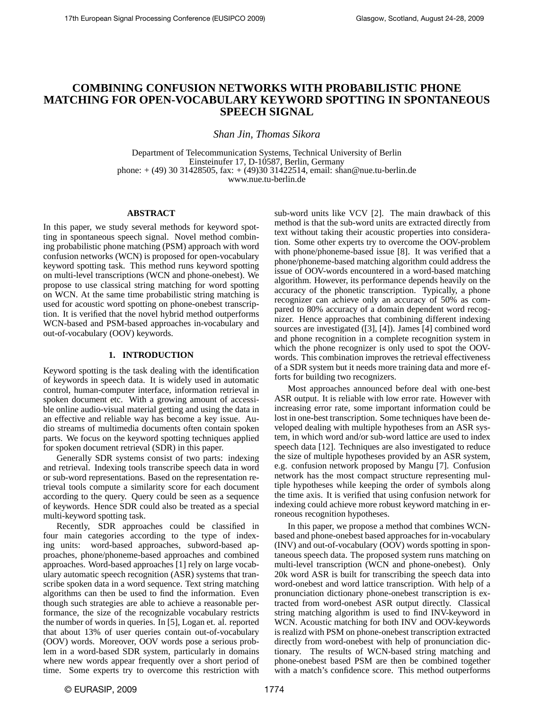# **COMBINING CONFUSION NETWORKS WITH PROBABILISTIC PHONE MATCHING FOR OPEN-VOCABULARY KEYWORD SPOTTING IN SPONTANEOUS SPEECH SIGNAL**

*Shan Jin, Thomas Sikora*

Department of Telecommunication Systems, Technical University of Berlin Einsteinufer 17, D-10587, Berlin, Germany phone: + (49) 30 31428505, fax: + (49)30 31422514, email: shan@nue.tu-berlin.de www.nue.tu-berlin.de

#### **ABSTRACT**

In this paper, we study several methods for keyword spotting in spontaneous speech signal. Novel method combining probabilistic phone matching (PSM) approach with word confusion networks (WCN) is proposed for open-vocabulary keyword spotting task. This method runs keyword spotting on multi-level transcriptions (WCN and phone-onebest). We propose to use classical string matching for word spotting on WCN. At the same time probabilistic string matching is used for acoustic word spotting on phone-onebest transcription. It is verified that the novel hybrid method outperforms WCN-based and PSM-based approaches in-vocabulary and out-of-vocabulary (OOV) keywords.

## **1. INTRODUCTION**

Keyword spotting is the task dealing with the identification of keywords in speech data. It is widely used in automatic control, human-computer interface, information retrieval in spoken document etc. With a growing amount of accessible online audio-visual material getting and using the data in an effective and reliable way has become a key issue. Audio streams of multimedia documents often contain spoken parts. We focus on the keyword spotting techniques applied for spoken document retrieval (SDR) in this paper.

Generally SDR systems consist of two parts: indexing and retrieval. Indexing tools transcribe speech data in word or sub-word representations. Based on the representation retrieval tools compute a similarity score for each document according to the query. Query could be seen as a sequence of keywords. Hence SDR could also be treated as a special multi-keyword spotting task.

Recently, SDR approaches could be classified in four main categories according to the type of indexing units: word-based approaches, subword-based approaches, phone/phoneme-based approaches and combined approaches. Word-based approaches [1] rely on large vocabulary automatic speech recognition (ASR) systems that transcribe spoken data in a word sequence. Text string matching algorithms can then be used to find the information. Even though such strategies are able to achieve a reasonable performance, the size of the recognizable vocabulary restricts the number of words in queries. In [5], Logan et. al. reported that about 13% of user queries contain out-of-vocabulary (OOV) words. Moreover, OOV words pose a serious problem in a word-based SDR system, particularly in domains where new words appear frequently over a short period of time. Some experts try to overcome this restriction with

sub-word units like VCV [2]. The main drawback of this method is that the sub-word units are extracted directly from text without taking their acoustic properties into consideration. Some other experts try to overcome the OOV-problem with phone/phoneme-based issue [8]. It was verified that a phone/phoneme-based matching algorithm could address the issue of OOV-words encountered in a word-based matching algorithm. However, its performance depends heavily on the accuracy of the phonetic transcription. Typically, a phone recognizer can achieve only an accuracy of 50% as compared to 80% accuracy of a domain dependent word recognizer. Hence approaches that combining different indexing sources are investigated ([3], [4]). James [4] combined word and phone recognition in a complete recognition system in which the phone recognizer is only used to spot the OOVwords. This combination improves the retrieval effectiveness of a SDR system but it needs more training data and more efforts for building two recognizers.

Most approaches announced before deal with one-best ASR output. It is reliable with low error rate. However with increasing error rate, some important information could be lost in one-best transcription. Some techniques have been developed dealing with multiple hypotheses from an ASR system, in which word and/or sub-word lattice are used to index speech data [12]. Techniques are also investigated to reduce the size of multiple hypotheses provided by an ASR system, e.g. confusion network proposed by Mangu [7]. Confusion network has the most compact structure representing multiple hypotheses while keeping the order of symbols along the time axis. It is verified that using confusion network for indexing could achieve more robust keyword matching in erroneous recognition hypotheses.

In this paper, we propose a method that combines WCNbased and phone-onebest based approaches for in-vocabulary (INV) and out-of-vocabulary (OOV) words spotting in spontaneous speech data. The proposed system runs matching on multi-level transcription (WCN and phone-onebest). Only 20k word ASR is built for transcribing the speech data into word-onebest and word lattice transcription. With help of a pronunciation dictionary phone-onebest transcription is extracted from word-onebest ASR output directly. Classical string matching algorithm is used to find INV-keyword in WCN. Acoustic matching for both INV and OOV-keywords is realizd with PSM on phone-onebest transcription extracted directly from word-onebest with help of pronunciation dictionary. The results of WCN-based string matching and phone-onebest based PSM are then be combined together with a match's confidence score. This method outperforms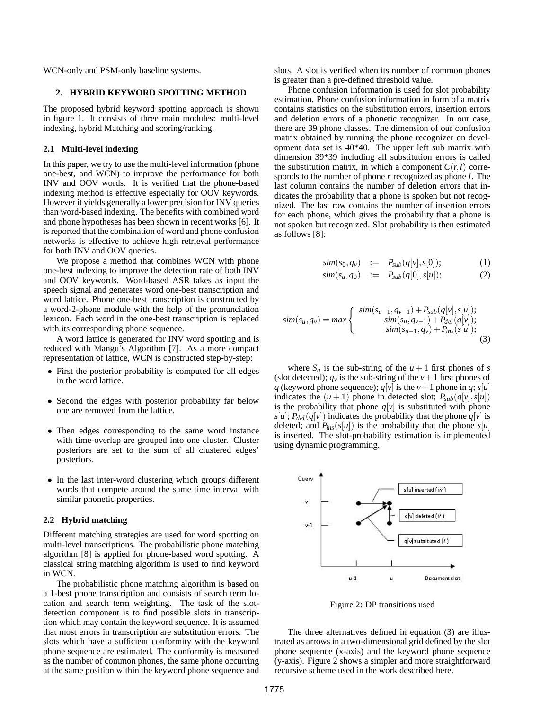WCN-only and PSM-only baseline systems.

## **2. HYBRID KEYWORD SPOTTING METHOD**

The proposed hybrid keyword spotting approach is shown in figure 1. It consists of three main modules: multi-level indexing, hybrid Matching and scoring/ranking.

#### **2.1 Multi-level indexing**

In this paper, we try to use the multi-level information (phone one-best, and WCN) to improve the performance for both INV and OOV words. It is verified that the phone-based indexing method is effective especially for OOV keywords. However it yields generally a lower precision for INV queries than word-based indexing. The benefits with combined word and phone hypotheses has been shown in recent works [6]. It is reported that the combination of word and phone confusion networks is effective to achieve high retrieval performance for both INV and OOV queries.

We propose a method that combines WCN with phone one-best indexing to improve the detection rate of both INV and OOV keywords. Word-based ASR takes as input the speech signal and generates word one-best transcription and word lattice. Phone one-best transcription is constructed by a word-2-phone module with the help of the pronunciation lexicon. Each word in the one-best transcription is replaced with its corresponding phone sequence.

A word lattice is generated for INV word spotting and is reduced with Mangu's Algorithm [7]. As a more compact representation of lattice, WCN is constructed step-by-step:

- First the posterior probability is computed for all edges in the word lattice.
- Second the edges with posterior probability far below one are removed from the lattice.
- Then edges corresponding to the same word instance with time-overlap are grouped into one cluster. Cluster posteriors are set to the sum of all clustered edges' posteriors.
- In the last inter-word clustering which groups different words that compete around the same time interval with similar phonetic properties.

#### **2.2 Hybrid matching**

Different matching strategies are used for word spotting on multi-level transcriptions. The probabilistic phone matching algorithm [8] is applied for phone-based word spotting. A classical string matching algorithm is used to find keyword in WCN.

The probabilistic phone matching algorithm is based on a 1-best phone transcription and consists of search term location and search term weighting. The task of the slotdetection component is to find possible slots in transcription which may contain the keyword sequence. It is assumed that most errors in transcription are substitution errors. The slots which have a sufficient conformity with the keyword phone sequence are estimated. The conformity is measured as the number of common phones, the same phone occurring at the same position within the keyword phone sequence and slots. A slot is verified when its number of common phones is greater than a pre-defined threshold value.

Phone confusion information is used for slot probability estimation. Phone confusion information in form of a matrix contains statistics on the substitution errors, insertion errors and deletion errors of a phonetic recognizer. In our case, there are 39 phone classes. The dimension of our confusion matrix obtained by running the phone recognizer on development data set is 40\*40. The upper left sub matrix with dimension 39\*39 including all substitution errors is called the substitution matrix, in which a component  $C(r, l)$  corresponds to the number of phone *r* recognized as phone *l*. The last column contains the number of deletion errors that indicates the probability that a phone is spoken but not recognized. The last row contains the number of insertion errors for each phone, which gives the probability that a phone is not spoken but recognized. Slot probability is then estimated as follows [8]:

$$
sim(s0, qv) := Psub(q[v], s[0]); \qquad (1)
$$

$$
sim(s_u, q_0) \quad := \quad P_{sub}(q[0], s[u]); \tag{2}
$$

$$
sim(s_u, q_v) = max \begin{cases} \n\quad \frac{\text{sim}(s_{u-1}, q_{v-1}) + P_{\text{sub}}(q[v], s[u])}{\text{sim}(s_u, q_{v-1}) + P_{\text{del}}(q[v])};\\ \n\quad \frac{\text{sim}(s_u, q_v)}{\text{sim}(s_{u-1}, q_v) + P_{\text{ins}}(s[u])}; \n\end{cases} \tag{3}
$$

where  $S_u$  is the sub-string of the  $u+1$  first phones of *s* (slot detected);  $q_v$  is the sub-string of the  $v+1$  first phones of *q* (keyword phone sequence);  $q[v]$  is the  $v+1$  phone in  $q$ ;  $s[u]$ indicates the  $(u + 1)$  phone in detected slot;  $P_{sub}(q[v], s[u])$ is the probability that phone  $q[v]$  is substituted with phone  $s[u]$ ;  $P_{del}(q[v])$  indicates the probability that the phone  $q[v]$  is deleted; and  $P_{ins}(s[u])$  is the probability that the phone  $s[u]$ is inserted. The slot-probability estimation is implemented using dynamic programming.



Figure 2: DP transitions used

The three alternatives defined in equation (3) are illustrated as arrows in a two-dimensional grid defined by the slot phone sequence (x-axis) and the keyword phone sequence (y-axis). Figure 2 shows a simpler and more straightforward recursive scheme used in the work described here.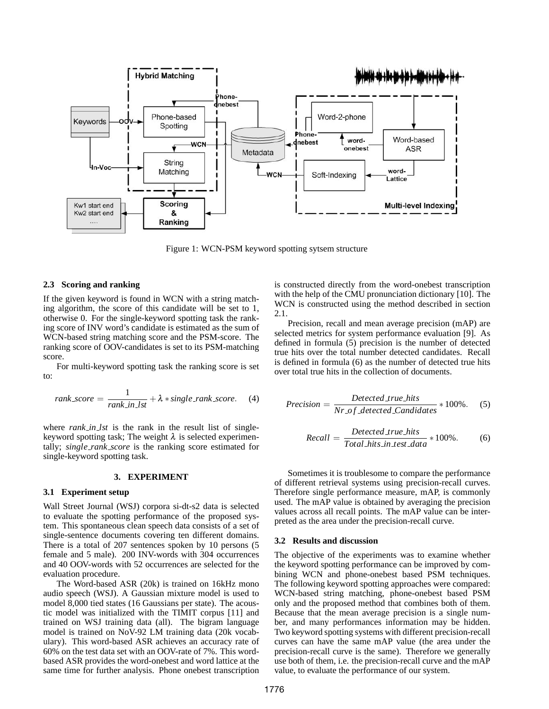

Figure 1: WCN-PSM keyword spotting sytsem structure

#### **2.3 Scoring and ranking**

If the given keyword is found in WCN with a string matching algorithm, the score of this candidate will be set to 1, otherwise 0. For the single-keyword spotting task the ranking score of INV word's candidate is estimated as the sum of WCN-based string matching score and the PSM-score. The ranking score of OOV-candidates is set to its PSM-matching score.

For multi-keyword spotting task the ranking score is set to:

$$
rank\_score = \frac{1}{rank\_in\_lst} + \lambda * single\_rank\_score.
$$
 (4)

where *rank\_in\_lst* is the rank in the result list of singlekeyword spotting task; The weight  $\lambda$  is selected experimentally; *single rank score* is the ranking score estimated for single-keyword spotting task.

#### **3. EXPERIMENT**

### **3.1 Experiment setup**

Wall Street Journal (WSJ) corpora si-dt-s2 data is selected to evaluate the spotting performance of the proposed system. This spontaneous clean speech data consists of a set of single-sentence documents covering ten different domains. There is a total of 207 sentences spoken by 10 persons (5 female and 5 male). 200 INV-words with 304 occurrences and 40 OOV-words with 52 occurrences are selected for the evaluation procedure.

The Word-based ASR (20k) is trained on 16kHz mono audio speech (WSJ). A Gaussian mixture model is used to model 8,000 tied states (16 Gaussians per state). The acoustic model was initialized with the TIMIT corpus [11] and trained on WSJ training data (all). The bigram language model is trained on NoV-92 LM training data (20k vocabulary). This word-based ASR achieves an accuracy rate of 60% on the test data set with an OOV-rate of 7%. This wordbased ASR provides the word-onebest and word lattice at the same time for further analysis. Phone onebest transcription is constructed directly from the word-onebest transcription with the help of the CMU pronunciation dictionary [10]. The WCN is constructed using the method described in section 2.1.

Precision, recall and mean average precision (mAP) are selected metrics for system performance evaluation [9]. As defined in formula (5) precision is the number of detected true hits over the total number detected candidates. Recall is defined in formula (6) as the number of detected true hits over total true hits in the collection of documents.

$$
Precision = \frac{Detected\_true\_hits}{Nr\_of\_detected\_Candidates} * 100\%.
$$
 (5)

Recall = 
$$
\frac{Detected\_true\_hits}{Total\_hits\_in\_test\_data} * 100\%.
$$
 (6)

Sometimes it is troublesome to compare the performance of different retrieval systems using precision-recall curves. Therefore single performance measure, mAP, is commonly used. The mAP value is obtained by averaging the precision values across all recall points. The mAP value can be interpreted as the area under the precision-recall curve.

#### **3.2 Results and discussion**

The objective of the experiments was to examine whether the keyword spotting performance can be improved by combining WCN and phone-onebest based PSM techniques. The following keyword spotting approaches were compared: WCN-based string matching, phone-onebest based PSM only and the proposed method that combines both of them. Because that the mean average precision is a single number, and many performances information may be hidden. Two keyword spotting systems with different precision-recall curves can have the same mAP value (the area under the precision-recall curve is the same). Therefore we generally use both of them, i.e. the precision-recall curve and the mAP value, to evaluate the performance of our system.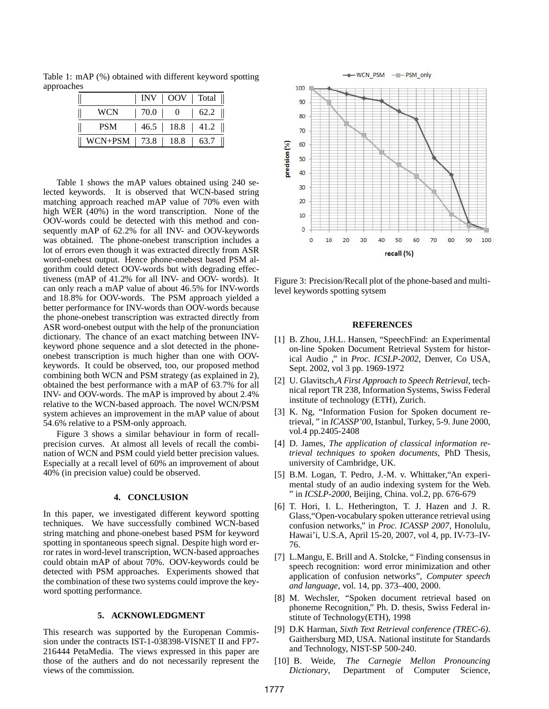Table 1: mAP (%) obtained with different keyword spotting approaches

|                           |                    |              | INV   OOV   Total |
|---------------------------|--------------------|--------------|-------------------|
| WCN                       | $\vert 70.0 \vert$ | $\mathbf{0}$ | 62.2              |
| <b>PSM</b>                |                    |              | 46.5 18.8 41.2    |
| $WCN + PSM$   73.8   18.8 |                    |              | 63.7              |

Table 1 shows the mAP values obtained using 240 selected keywords. It is observed that WCN-based string matching approach reached mAP value of 70% even with high WER (40%) in the word transcription. None of the OOV-words could be detected with this method and consequently mAP of 62.2% for all INV- and OOV-keywords was obtained. The phone-onebest transcription includes a lot of errors even though it was extracted directly from ASR word-onebest output. Hence phone-onebest based PSM algorithm could detect OOV-words but with degrading effectiveness (mAP of 41.2% for all INV- and OOV- words). It can only reach a mAP value of about 46.5% for INV-words and 18.8% for OOV-words. The PSM approach yielded a better performance for INV-words than OOV-words because the phone-onebest transcription was extracted directly from ASR word-onebest output with the help of the pronunciation dictionary. The chance of an exact matching between INVkeyword phone sequence and a slot detected in the phoneonebest transcription is much higher than one with OOVkeywords. It could be observed, too, our proposed method combining both WCN and PSM strategy (as explained in 2), obtained the best performance with a mAP of 63.7% for all INV- and OOV-words. The mAP is improved by about 2.4% relative to the WCN-based approach. The novel WCN/PSM system achieves an improvement in the mAP value of about 54.6% relative to a PSM-only approach.

Figure 3 shows a similar behaviour in form of recallprecision curves. At almost all levels of recall the combination of WCN and PSM could yield better precision values. Especially at a recall level of 60% an improvement of about 40% (in precision value) could be observed.

#### **4. CONCLUSION**

In this paper, we investigated different keyword spotting techniques. We have successfully combined WCN-based string matching and phone-onebest based PSM for keyword spotting in spontaneous speech signal. Despite high word error rates in word-level transcription, WCN-based approaches could obtain mAP of about 70%. OOV-keywords could be detected with PSM approaches. Experiments showed that the combination of these two systems could improve the keyword spotting performance.

## **5. ACKNOWLEDGMENT**

This research was supported by the Europenan Commission under the contracts IST-1-038398-VISNET II and FP7- 216444 PetaMedia. The views expressed in this paper are those of the authers and do not necessarily represent the views of the commission.



Figure 3: Precision/Recall plot of the phone-based and multilevel keywords spotting sytsem

#### **REFERENCES**

- [1] B. Zhou, J.H.L. Hansen, "SpeechFind: an Experimental on-line Spoken Document Retrieval System for historical Audio ," in *Proc. ICSLP-2002*, Denver, Co USA, Sept. 2002, vol 3 pp. 1969-1972
- [2] U. Glavitsch,*A First Approach to Speech Retrieval*, technical report TR 238, Information Systems, Swiss Federal institute of technology (ETH), Zurich.
- [3] K. Ng, "Information Fusion for Spoken document retrieval, " in *ICASSP'00*, Istanbul, Turkey, 5-9. June 2000, vol.4 pp.2405-2408
- [4] D. James, *The application of classical information retrieval techniques to spoken documents*, PhD Thesis, university of Cambridge, UK.
- [5] B.M. Logan, T. Pedro, J.-M. v. Whittaker,"An experimental study of an audio indexing system for the Web. " in *ICSLP-2000*, Beijing, China. vol.2, pp. 676-679
- [6] T. Hori, I. L. Hetherington, T. J. Hazen and J. R. Glass,"Open-vocabulary spoken utterance retrieval using confusion networks," in *Proc. ICASSP 2007*, Honolulu, Hawai'i, U.S.A, April 15-20, 2007, vol 4, pp. IV-73–IV-76.
- [7] L.Mangu, E. Brill and A. Stolcke, " Finding consensus in speech recognition: word error minimization and other application of confusion networks", *Computer speech and language*, vol. 14, pp. 373–400, 2000.
- [8] M. Wechsler, "Spoken document retrieval based on phoneme Recognition," Ph. D. thesis, Swiss Federal institute of Technology(ETH), 1998
- [9] D.K Harman, *Sixth Text Retrieval conference (TREC-6)*. Gaithersburg MD, USA. National institute for Standards and Technology, NIST-SP 500-240.
- [10] B. Weide, *The Carnegie Mellon Pronouncing Dictionary*, Department of Computer Science,